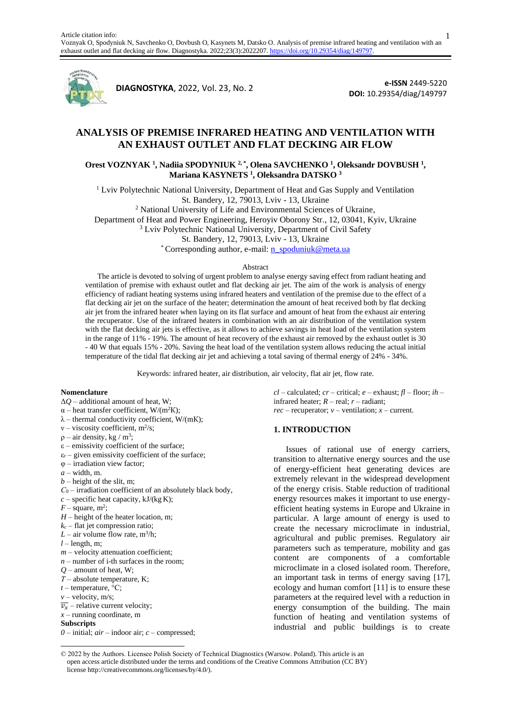

**<sup>1</sup>DIAGNOSTYKA**, 2022, Vol. 23, No. 2

**e-ISSN** 2449-5220 **DOI:** 10.29354/diag/149797

# **ANALYSIS OF PREMISE INFRARED HEATING AND VENTILATION WITH AN EXHAUST OUTLET AND FLAT DECKING AIR FLOW**

**Orest VOZNYAK <sup>1</sup> , Nadiia SPODYNIUK 2, \* , Olena SAVCHENKO <sup>1</sup> , Oleksandr DOVBUSH <sup>1</sup> , Mariana KASYNETS <sup>1</sup> , Oleksandra DATSKO <sup>3</sup>**

<sup>1</sup> Lviv Polytechnic National University, Department of Heat and Gas Supply and Ventilation St. Bandery, 12, 79013, Lviv - 13, Ukraine

<sup>2</sup> National University of Life and Environmental Sciences of Ukraine,

Department of Heat and Power Engineering, Heroyiv Oborony Str., 12, 03041, Kyiv, Ukraine

<sup>3</sup> Lviv Polytechnic National University, Department of Civil Safety

St. Bandery, 12, 79013, Lviv - 13, Ukraine

\* Corresponding author, e-mail[: n\\_spoduniuk@meta.ua](mailto:n_spoduniuk@meta.ua)

#### Abstract

The article is devoted to solving of urgent problem to analyse energy saving effect from radiant heating and ventilation of premise with exhaust outlet and flat decking air jet. The aim of the work is analysis of energy efficiency of radiant heating systems using infrared heaters and ventilation of the premise due to the effect of a flat decking air jet on the surface of the heater; determination the amount of heat received both by flat decking air jet from the infrared heater when laying on its flat surface and amount of heat from the exhaust air entering the recuperator. Use of the infrared heaters in combination with an air distribution of the ventilation system with the flat decking air jets is effective, as it allows to achieve savings in heat load of the ventilation system in the range of 11% - 19%. The amount of heat recovery of the exhaust air removed by the exhaust outlet is 30 - 40 W that equals 15% - 20%. Saving the heat load of the ventilation system allows reducing the actual initial temperature of the tidal flat decking air jet and achieving a total saving of thermal energy of 24% - 34%.

Keywords: infrared heater, air distribution, air velocity, flat air jet, flow rate.

#### **Nomenclature**

- Δ*Q* additional amount of heat, W;
- $\alpha$  heat transfer coefficient, W/(m<sup>2</sup>K);
- $\lambda$  thermal conductivity coefficient, W/(mK);
- $v \text{viscosity coefficient}, m^2/s;$
- $p air$  density, kg / m<sup>3</sup>;
- $\varepsilon$  emissivity coefficient of the surface;
- $\varepsilon_r$  given emissivity coefficient of the surface;
- φ irradiation view factor;
- $a$  width, m.
- $b$  height of the slit, m;
- *С*<sup>0</sup> irradiation coefficient of an absolutely black body,
- $c$  specific heat capacity,  $kJ/(kg K)$ ;
- $F-$  square, m<sup>2</sup>;
- *H* height of the heater location, m;
- $k_c$  flat jet compression ratio;
- $L$  air volume flow rate,  $m^3/h$ ;
- $l$  length, m;
- $m$  velocity attenuation coefficient;
- $n$  number of i-th surfaces in the room;
- *Q* amount of heat, W;
- *Т* absolute temperature, K;
- $t$  temperature, <sup> $\circ$ </sup>C:
- $v$  velocity, m/s;
- $\overline{v_x}$  relative current velocity;
- *x* running coordinate, m

### **Subscripts**

*0 –* initial; *air* – indoor air; *c* – compressed;

 $cl$  – calculated;  $cr$  – critical;  $e$  – exhaust;  $fl$  – floor;  $ih$  – infrared heater; *R –* real; *r –* radiant; *rec* – recuperator;  $v$  – ventilation;  $x$  – current.

### **1. INTRODUCTION**

Issues of rational use of energy carriers, transition to alternative energy sources and the use of energy-efficient heat generating devices are extremely relevant in the widespread development of the energy crisis. Stable reduction of traditional energy resources makes it important to use energyefficient heating systems in Europe and Ukraine in particular. A large amount of energy is used to create the necessary microclimate in industrial, agricultural and public premises. Regulatory air parameters such as temperature, mobility and gas content are components of a comfortable microclimate in a closed isolated room. Therefore, an important task in terms of energy saving [17], ecology and human comfort [11] is to ensure these parameters at the required level with a reduction in energy consumption of the building. The main function of heating and ventilation systems of industrial and public buildings is to create

1

<sup>© 2022</sup> by the Authors. Licensee Polish Society of Technical Diagnostics (Warsow. Poland). This article is an open access article distributed under the terms and conditions of the Creative Commons Attribution (CC BY) license http://creativecommons.org/licenses/by/4.0/).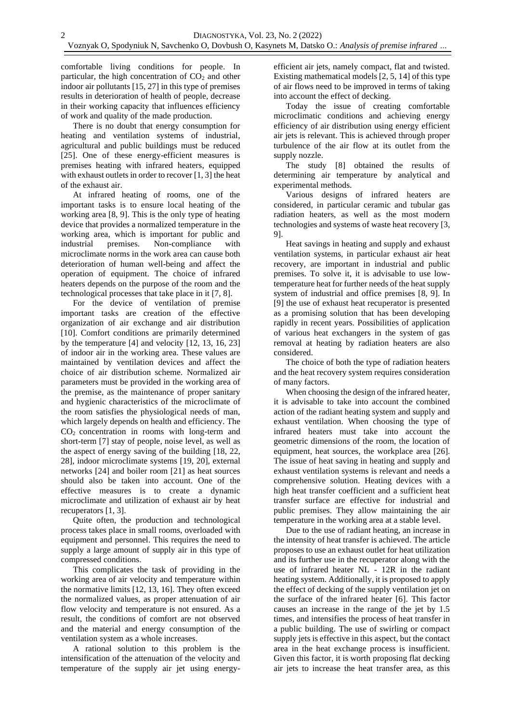comfortable living conditions for people. In particular, the high concentration of  $CO<sub>2</sub>$  and other indoor air pollutants [15, 27] in this type of premises results in deterioration of health of people, decrease in their working capacity that influences efficiency of work and quality of the made production.

There is no doubt that energy consumption for heating and ventilation systems of industrial, agricultural and public buildings must be reduced [25]. One of these energy-efficient measures is premises heating with infrared heaters, equipped with exhaust outlets in order to recover [1, 3] the heat of the exhaust air.

At infrared heating of rooms, one of the important tasks is to ensure local heating of the working area [8, 9]. This is the only type of heating device that provides a normalized temperature in the working area, which is important for public and industrial premises. Non-compliance with microclimate norms in the work area can cause both deterioration of human well-being and affect the operation of equipment. The choice of infrared heaters depends on the purpose of the room and the technological processes that take place in it [7, 8].

For the device of ventilation of premise important tasks are creation of the effective organization of air exchange and air distribution [10]. Comfort conditions are primarily determined by the temperature [4] and velocity [12, 13, 16, 23] of indoor air in the working area. These values are maintained by ventilation devices and affect the choice of air distribution scheme. Normalized air parameters must be provided in the working area of the premise, as the maintenance of proper sanitary and hygienic characteristics of the microclimate of the room satisfies the physiological needs of man, which largely depends on health and efficiency. The CO<sup>2</sup> concentration in rooms with long-term and short-term [7] stay of people, noise level, as well as the aspect of energy saving of the building [18, 22, 28], indoor microclimate systems [19, 20], external networks [24] and boiler room [21] as heat sources should also be taken into account. One of the effective measures is to create a dynamic microclimate and utilization of exhaust air by heat recuperators [1, 3].

Quite often, the production and technological process takes place in small rooms, overloaded with equipment and personnel. This requires the need to supply a large amount of supply air in this type of compressed conditions.

This complicates the task of providing in the working area of air velocity and temperature within the normative limits [12, 13, 16]. They often exceed the normalized values, as proper attenuation of air flow velocity and temperature is not ensured. As a result, the conditions of comfort are not observed and the material and energy consumption of the ventilation system as a whole increases.

A rational solution to this problem is the intensification of the attenuation of the velocity and temperature of the supply air jet using energyefficient air jets, namely compact, flat and twisted. Existing mathematical models [2, 5, 14] of this type of air flows need to be improved in terms of taking into account the effect of decking.

Today the issue of creating comfortable microclimatic conditions and achieving energy efficiency of air distribution using energy efficient air jets is relevant. This is achieved through proper turbulence of the air flow at its outlet from the supply nozzle.

The study [8] obtained the results of determining air temperature by analytical and experimental methods.

Various designs of infrared heaters are considered, in particular ceramic and tubular gas radiation heaters, as well as the most modern technologies and systems of waste heat recovery [3, 9].

Heat savings in heating and supply and exhaust ventilation systems, in particular exhaust air heat recovery, are important in industrial and public premises. To solve it, it is advisable to use lowtemperature heat for further needs of the heat supply system of industrial and office premises [8, 9]. In [9] the use of exhaust heat recuperator is presented as a promising solution that has been developing rapidly in recent years. Possibilities of application of various heat exchangers in the system of gas removal at heating by radiation heaters are also considered.

The choice of both the type of radiation heaters and the heat recovery system requires consideration of many factors.

When choosing the design of the infrared heater. it is advisable to take into account the combined action of the radiant heating system and supply and exhaust ventilation. When choosing the type of infrared heaters must take into account the geometric dimensions of the room, the location of equipment, heat sources, the workplace area [26]. The issue of heat saving in heating and supply and exhaust ventilation systems is relevant and needs a comprehensive solution. Heating devices with a high heat transfer coefficient and a sufficient heat transfer surface are effective for industrial and public premises. They allow maintaining the air temperature in the working area at a stable level.

Due to the use of radiant heating, an increase in the intensity of heat transfer is achieved. The article proposes to use an exhaust outlet for heat utilization and its further use in the recuperator along with the use of infrared heater NL - 12R in the radiant heating system. Additionally, it is proposed to apply the effect of decking of the supply ventilation jet on the surface of the infrared heater [6]. This factor causes an increase in the range of the jet by 1.5 times, and intensifies the process of heat transfer in a public building. The use of swirling or compact supply jets is effective in this aspect, but the contact area in the heat exchange process is insufficient. Given this factor, it is worth proposing flat decking air jets to increase the heat transfer area, as this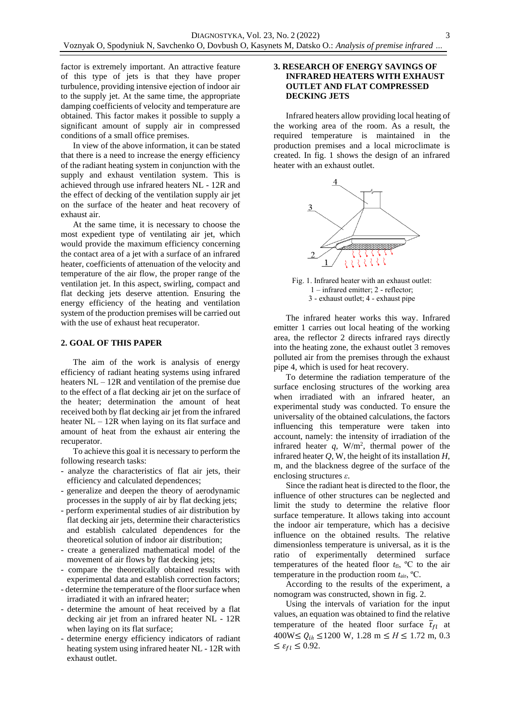factor is extremely important. An attractive feature of this type of jets is that they have proper turbulence, providing intensive ejection of indoor air to the supply jet. At the same time, the appropriate damping coefficients of velocity and temperature are obtained. This factor makes it possible to supply a significant amount of supply air in compressed conditions of a small office premises.

In view of the above information, it can be stated that there is a need to increase the energy efficiency of the radiant heating system in conjunction with the supply and exhaust ventilation system. This is achieved through use infrared heaters NL - 12R and the effect of decking of the ventilation supply air jet on the surface of the heater and heat recovery of exhaust air.

At the same time, it is necessary to choose the most expedient type of ventilating air jet, which would provide the maximum efficiency concerning the contact area of a jet with a surface of an infrared heater, coefficients of attenuation of the velocity and temperature of the air flow, the proper range of the ventilation jet. In this aspect, swirling, compact and flat decking jets deserve attention. Ensuring the energy efficiency of the heating and ventilation system of the production premises will be carried out with the use of exhaust heat recuperator.

### **2. GOAL OF THIS PAPER**

The aim of the work is analysis of energy efficiency of radiant heating systems using infrared heaters NL – 12R and ventilation of the premise due to the effect of a flat decking air jet on the surface of the heater; determination the amount of heat received both by flat decking air jet from the infrared heater NL – 12R when laying on its flat surface and amount of heat from the exhaust air entering the recuperator.

To achieve this goal it is necessary to perform the following research tasks:

- analyze the characteristics of flat air jets, their efficiency and calculated dependences;
- generalize and deepen the theory of aerodynamic processes in the supply of air by flat decking jets;
- perform experimental studies of air distribution by flat decking air jets, determine their characteristics and establish calculated dependences for the theoretical solution of indoor air distribution;
- create a generalized mathematical model of the movement of air flows by flat decking jets;
- compare the theoretically obtained results with experimental data and establish correction factors;
- determine the temperature of the floor surface when irradiated it with an infrared heater;
- determine the amount of heat received by a flat decking air jet from an infrared heater NL - 12R when laying on its flat surface;
- determine energy efficiency indicators of radiant heating system using infrared heater NL - 12R with exhaust outlet.

### **3. RESEARCH OF ENERGY SAVINGS OF INFRARED HEATERS WITH EXHAUST OUTLET AND FLAT COMPRESSED DECKING JETS**

Infrared heaters allow providing local heating of the working area of the room. As a result, the required temperature is maintained in the production premises and a local microclimate is created. In fig. 1 shows the design of an infrared heater with an exhaust outlet.



Fig. 1. Infrared heater with an exhaust outlet: 1 – infrared emitter; 2 - reflector; 3 - exhaust outlet; 4 - exhaust pipe

The infrared heater works this way. Infrared emitter 1 carries out local heating of the working area, the reflector 2 directs infrared rays directly into the heating zone, the exhaust outlet 3 removes polluted air from the premises through the exhaust pipe 4, which is used for heat recovery.

To determine the radiation temperature of the surface enclosing structures of the working area when irradiated with an infrared heater, an experimental study was conducted. To ensure the universality of the obtained calculations, the factors influencing this temperature were taken into account, namely: the intensity of irradiation of the infrared heater  $q$ , W/m<sup>2</sup>, thermal power of the infrared heater *Q*, W, the height of its installation *H*, m, and the blackness degree of the surface of the enclosing structures *ε*.

Since the radiant heat is directed to the floor, the influence of other structures can be neglected and limit the study to determine the relative floor surface temperature. It allows taking into account the indoor air temperature, which has a decisive influence on the obtained results. The relative dimensionless temperature is universal, as it is the ratio of experimentally determined surface temperatures of the heated floor  $t_{\text{fl}}$ , <sup>o</sup>C to the air temperature in the production room *t*air, ºС.

According to the results of the experiment, a nomogram was constructed, shown in fig. 2.

Using the intervals of variation for the input values, an equation was obtained to find the relative temperature of the heated floor surface  $\overline{t}_{f}$  at  $400W ≤ Q<sub>ih</sub> ≤ 1200 W, 1.28 m ≤ H ≤ 1.72 m, 0.3$  $\leq \varepsilon_{fl} \leq 0.92$ .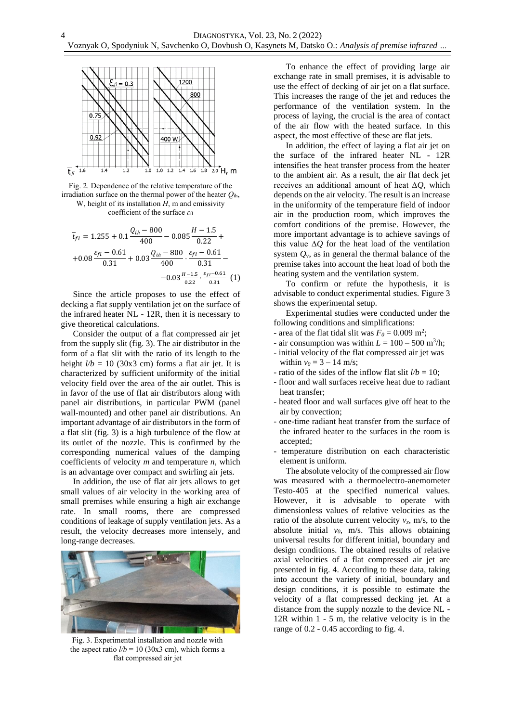



coefficient of the surface *ε*fl

$$
\overline{t}_{fl} = 1.255 + 0.1 \frac{Q_{ih} - 800}{400} - 0.085 \frac{H - 1.5}{0.22} + 0.08 \frac{\varepsilon_{fl} - 0.61}{0.31} + 0.03 \frac{Q_{ih} - 800}{400} \cdot \frac{\varepsilon_{fl} - 0.61}{0.31} - 0.03 \frac{H - 1.5}{0.22} \cdot \frac{\varepsilon_{fl} - 0.61}{0.31} (1)
$$

Since the article proposes to use the effect of decking a flat supply ventilation jet on the surface of the infrared heater NL - 12R, then it is necessary to give theoretical calculations.

Consider the output of a flat compressed air jet from the supply slit (fig. 3). The air distributor in the form of a flat slit with the ratio of its length to the height  $l/b = 10$  (30x3 cm) forms a flat air jet. It is characterized by sufficient uniformity of the initial velocity field over the area of the air outlet. This is in favor of the use of flat air distributors along with panel air distributions, in particular PWM (panel wall-mounted) and other panel air distributions. An important advantage of air distributors in the form of a flat slit (fig. 3) is a high turbulence of the flow at its outlet of the nozzle. This is confirmed by the corresponding numerical values of the damping coefficients of velocity *m* and temperature *n*, which is an advantage over compact and swirling air jets.

In addition, the use of flat air jets allows to get small values of air velocity in the working area of small premises while ensuring a high air exchange rate. In small rooms, there are compressed conditions of leakage of supply ventilation jets. As a result, the velocity decreases more intensely, and long-range decreases.



Fig. 3. Experimental installation and nozzle with the aspect ratio  $l/b = 10$  (30x3 cm), which forms a flat compressed air jet

To enhance the effect of providing large air exchange rate in small premises, it is advisable to use the effect of decking of air jet on a flat surface. This increases the range of the jet and reduces the performance of the ventilation system. In the process of laying, the crucial is the area of contact of the air flow with the heated surface. In this aspect, the most effective of these are flat jets.

In addition, the effect of laying a flat air jet on the surface of the infrared heater NL - 12R intensifies the heat transfer process from the heater to the ambient air. As a result, the air flat deck jet receives an additional amount of heat ∆*Q*, which depends on the air velocity. The result is an increase in the uniformity of the temperature field of indoor air in the production room, which improves the comfort conditions of the premise. However, the more important advantage is to achieve savings of this value ∆*Q* for the heat load of the ventilation system *Q*v, as in general the thermal balance of the premise takes into account the heat load of both the heating system and the ventilation system.

To confirm or refute the hypothesis, it is advisable to conduct experimental studies. Figure 3 shows the experimental setup.

Experimental studies were conducted under the following conditions and simplifications:

- area of the flat tidal slit was  $F_0 = 0.009$  m<sup>2</sup>;
- air consumption was within  $L = 100 500$  m<sup>3</sup>/h;
- initial velocity of the flat compressed air jet was within  $v_0 = 3 - 14$  m/s;
- ratio of the sides of the inflow flat slit  $l/b = 10$ ;
- floor and wall surfaces receive heat due to radiant heat transfer;
- heated floor and wall surfaces give off heat to the air by convection;
- one-time radiant heat transfer from the surface of the infrared heater to the surfaces in the room is accepted;
- temperature distribution on each characteristic element is uniform.

The absolute velocity of the compressed air flow was measured with a thermoelectro-anemometer Testo-405 at the specified numerical values. However, it is advisable to operate with dimensionless values of relative velocities as the ratio of the absolute current velocity  $v_x$ , m/s, to the absolute initial *v0*, m/s. This allows obtaining universal results for different initial, boundary and design conditions. The obtained results of relative axial velocities of a flat compressed air jet are presented in fig. 4. According to these data, taking into account the variety of initial, boundary and design conditions, it is possible to estimate the velocity of a flat compressed decking jet. At a distance from the supply nozzle to the device NL - 12R within 1 - 5 m, the relative velocity is in the range of 0.2 - 0.45 according to fig. 4.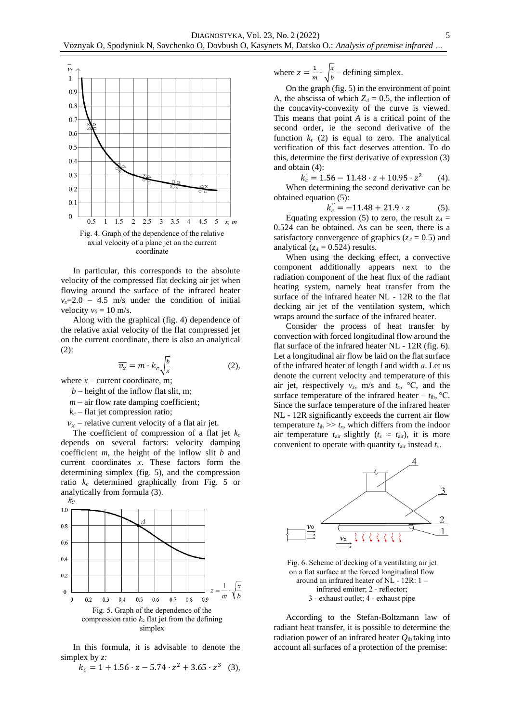

In particular, this corresponds to the absolute velocity of the compressed flat decking air jet when flowing around the surface of the infrared heater  $v_x = 2.0 - 4.5$  m/s under the condition of initial velocity  $v_0 = 10$  m/s.

Along with the graphical (fig. 4) dependence of the relative axial velocity of the flat compressed jet on the current coordinate, there is also an analytical (2):

$$
\overline{v_x} = m \cdot k_c \sqrt{\frac{b}{x}} \tag{2},
$$

where  $x$  – current coordinate, m;

- $b$  height of the inflow flat slit, m;
- $m air$  flow rate damping coefficient;
- $k_c$  flat jet compression ratio;
- $\overline{v_x}$  relative current velocity of a flat air jet.

The coefficient of compression of a flat jet *k<sup>c</sup>* depends on several factors: velocity damping coefficient *m*, the height of the inflow slit *b* and current coordinates *х*. These factors form the determining simplex (fig. 5), and the compression ratio *k<sup>c</sup>* determined graphically from Fig. 5 or analytically from formula (3).



In this formula, it is advisable to denote the simplex by *z:*

 $k_c = 1 + 1.56 \cdot z - 5.74 \cdot z^2 + 3.65 \cdot z^3$  (3),

where 
$$
z = \frac{1}{m} \cdot \sqrt{\frac{x}{b}} - \text{defining simplex}.
$$

On the graph (fig. 5) in the environment of point A, the abscissa of which  $Z_A = 0.5$ , the inflection of the concavity-convexity of the curve is viewed. This means that point *A* is a critical point of the second order, ie the second derivative of the function  $k_c$  (2) is equal to zero. The analytical verification of this fact deserves attention. To do this, determine the first derivative of expression (3) and obtain (4):

 $k'_c = 1.56 - 11.48 \cdot z + 10.95 \cdot z^2$  $(4)$ . When determining the second derivative can be obtained equation (5):

$$
k_c'' = -11.48 + 21.9 \cdot z \tag{5}
$$

Equating expression (5) to zero, the result  $z_A =$ 0.524 can be obtained. As can be seen, there is a satisfactory convergence of graphics  $(z_A = 0.5)$  and analytical  $(z_A = 0.524)$  results.

When using the decking effect, a convective component additionally appears next to the radiation component of the heat flux of the radiant heating system, namely heat transfer from the surface of the infrared heater NL - 12R to the flat decking air jet of the ventilation system, which wraps around the surface of the infrared heater.

Consider the process of heat transfer by convection with forced longitudinal flow around the flat surface of the infrared heater NL - 12R (fig. 6). Let a longitudinal air flow be laid on the flat surface of the infrared heater of length *l* and width *а*. Let us denote the current velocity and temperature of this air jet, respectively  $v_x$ , m/s and  $t_x$ , °C, and the surface temperature of the infrared heater –  $t_{\text{ih}}$  °C. Since the surface temperature of the infrared heater NL - 12R significantly exceeds the current air flow temperature  $t_{ih} \gg t_x$ , which differs from the indoor air temperature  $t_{\text{air}}$  slightly  $(t_x \approx t_{\text{air}})$ , it is more convenient to operate with quantity *t*air instead *tх*.



Fig. 6. Scheme of decking of a ventilating air jet on a flat surface at the forced longitudinal flow around an infrared heater of NL - 12R: 1 – infrared emitter; 2 - reflector; 3 - exhaust outlet; 4 - exhaust pipe

According to the Stefan-Boltzmann law of radiant heat transfer, it is possible to determine the radiation power of an infrared heater *Q*ih taking into account all surfaces of a protection of the premise: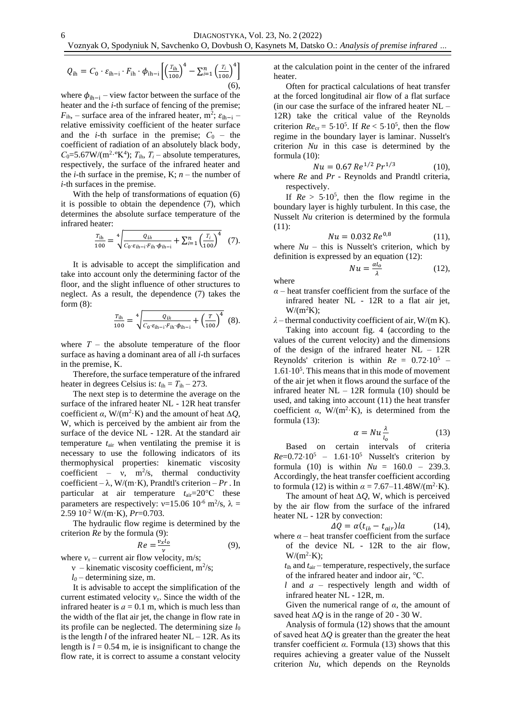$$
Q_{\text{ih}} = C_0 \cdot \varepsilon_{\text{ih}-\text{i}} \cdot F_{\text{ih}} \cdot \phi_{\text{ih}-\text{i}} \left[ \left( \frac{T_{\text{ih}}}{100} \right)^4 - \sum_{i=1}^n \left( \frac{T_i}{100} \right)^4 \right]
$$
(6),

where  $\phi_{ih-i}$  – view factor between the surface of the heater and the *i*-th surface of fencing of the premise;  $F_{ih}$ , – surface area of the infrared heater, m<sup>2</sup>;  $\varepsilon_{ih-i}$  – relative emissivity coefficient of the heater surface and the *i*-th surface in the premise;  $C_0$  – the coefficient of radiation of an absolutely black body,  $C_0$ =5.67W/(m<sup>2.o</sup>K<sup>4</sup>);  $T_{\text{ih}}$ ,  $T_i$  – absolute temperatures, respectively, the surface of the infrared heater and the *i*-th surface in the premise, K;  $n -$  the number of *i*-th surfaces in the premise.

With the help of transformations of equation (6) it is possible to obtain the dependence (7), which determines the absolute surface temperature of the infrared heater:

$$
\frac{T_{\rm ih}}{100} = \sqrt[4]{\frac{Q_{th}}{C_0 \cdot \varepsilon_{\rm ih-i} \cdot F_{\rm ih} \cdot \phi_{\rm ih-i}}} + \sum_{i=1}^n \left(\frac{T_i}{100}\right)^4 \quad (7).
$$

It is advisable to accept the simplification and take into account only the determining factor of the floor, and the slight influence of other structures to neglect. As a result, the dependence (7) takes the form (8):

$$
\frac{T_{\rm ih}}{100} = \sqrt[4]{\frac{Q_{lh}}{C_0 \cdot \varepsilon_{\rm ih-i} \cdot F_{\rm ih} \cdot \phi_{\rm ih-i}} + \left(\frac{T}{100}\right)^4} \tag{8}.
$$

where  $T -$  the absolute temperature of the floor surface as having a dominant area of all *i*-th surfaces in the premise, K.

Therefore, the surface temperature of the infrared heater in degrees Celsius is:  $t_{\text{ih}} = T_{\text{ih}} - 273$ .

The next step is to determine the average on the surface of the infrared heater NL - 12R heat transfer coefficient  $\alpha$ , W/(m<sup>2</sup>·K) and the amount of heat  $\Delta Q$ , W, which is perceived by the ambient air from the surface of the device NL - 12R. At the standard air temperature *t*air when ventilating the premise it is necessary to use the following indicators of its thermophysical properties: kinematic viscosity coefficient – v,  $m^2/s$ , thermal conductivity coefficient –  $\lambda$ , W/(m·K), Prandtl's criterion – *Pr*. In particular at air temperature  $t_{\text{air}} = 20^{\circ}\text{C}$  these parameters are respectively:  $v=15.06 \, 10^{-6} \, \text{m}^2/\text{s}$ ,  $\lambda =$ 2.59 10-2 W/(m·K), *Pr*=0.703.

The hydraulic flow regime is determined by the criterion *Re* by the formula (9):

$$
Re = \frac{v_x l_o}{v} \tag{9}
$$

where  $v_x$  – current air flow velocity, m/s;

 $v$  – kinematic viscosity coefficient, m<sup>2</sup>/s;

 $l_0$  – determining size, m.

It is advisable to accept the simplification of the current estimated velocity  $v_x$ . Since the width of the infrared heater is  $a = 0.1$  m, which is much less than the width of the flat air jet, the change in flow rate in its profile can be neglected. The determining size  $l_0$ is the length *l* of the infrared heater NL – 12R. As its length is  $l = 0.54$  m, ie is insignificant to change the flow rate, it is correct to assume a constant velocity

at the calculation point in the center of the infrared heater.

Often for practical calculations of heat transfer at the forced longitudinal air flow of a flat surface (in our case the surface of the infrared heater NL – 12R) take the critical value of the Reynolds criterion  $Re_{\text{cr}} = 5.10^5$ . If  $Re < 5.10^5$ , then the flow regime in the boundary layer is laminar. Nusselt's criterion *Nu* in this case is determined by the formula (10):

$$
Nu = 0.67 \, Re^{1/2} \, Pr^{1/3} \tag{10},
$$

where *Re* and *Pr -* Reynolds and Prandtl criteria, respectively.

If  $Re > 5.10^5$ , then the flow regime in the boundary layer is highly turbulent. In this case, the Nusselt *Nu* criterion is determined by the formula (11):

$$
Nu = 0.032 \, Re^{0.8} \tag{11}
$$

where  $Nu -$  this is Nusselt's criterion, which by definition is expressed by an equation (12):

$$
Nu = \frac{\alpha l_o}{\lambda} \tag{12},
$$

where

- *α* heat transfer coefficient from the surface of the infrared heater NL - 12R to a flat air jet,  $W/(m^2K)$ ;
- *λ* thermal conductivity coefficient of air, W/(m K).

Taking into account fig. 4 (according to the values of the current velocity) and the dimensions of the design of the infrared heater NL – 12R Reynolds' criterion is within  $Re = 0.72 \cdot 10^5$  $1.61 \cdot 10^5$ . This means that in this mode of movement of the air jet when it flows around the surface of the infrared heater  $NL - 12R$  formula (10) should be used, and taking into account (11) the heat transfer coefficient  $\alpha$ , W/(m<sup>2</sup>·K), is determined from the formula (13):

$$
\alpha = Nu \frac{\lambda}{l_o} \tag{13}
$$

Based on certain intervals of criteria  $Re=0.72 \cdot 10^5 - 1.61 \cdot 10^5$  Nusselt's criterion by formula (10) is within  $Nu = 160.0 - 239.3$ . Accordingly, the heat transfer coefficient according to formula (12) is within  $\alpha = 7.67 - 11.48 \text{W/(m}^2 \cdot \text{K)}$ .

The amount of heat ∆*Q*, W, which is perceived by the air flow from the surface of the infrared heater NL - 12R by convection:

$$
\Delta Q = \alpha (t_{ih} - t_{air})la \qquad (14),
$$

where  $\alpha$  – heat transfer coefficient from the surface of the device NL - 12R to the air flow,  $W/(m^2 \cdot K);$ 

 *t*ih and *t*air – temperature, respectively, the surface of the infrared heater and indoor air, °С.

 *l* and *а* – respectively length and width of infrared heater NL - 12R, m.

Given the numerical range of *α*, the amount of saved heat  $\Delta Q$  is in the range of 20 - 30 W.

Analysis of formula (12) shows that the amount of saved heat ∆*Q* is greater than the greater the heat transfer coefficient *α*. Formula (13) shows that this requires achieving a greater value of the Nusselt criterion *Nu*, which depends on the Reynolds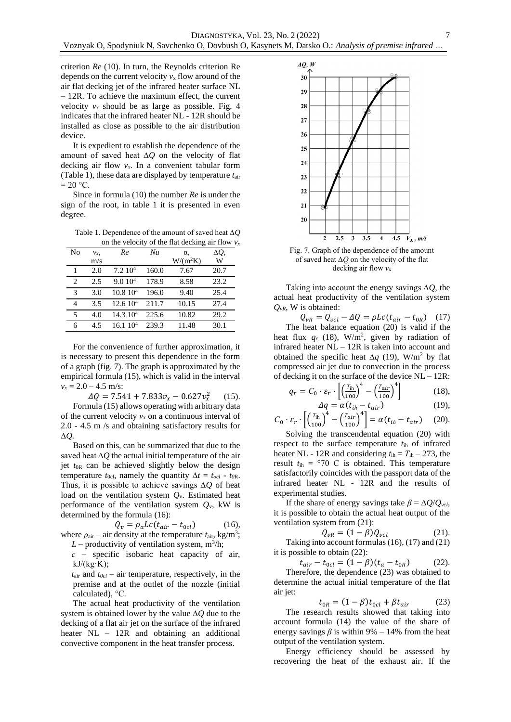criterion *Re* (10). In turn, the Reynolds criterion Re depends on the current velocity  $v_x$  flow around of the air flat decking jet of the infrared heater surface NL – 12R. To achieve the maximum effect, the current velocity  $v_x$  should be as large as possible. Fig. 4 indicates that the infrared heater NL - 12R should be installed as close as possible to the air distribution device.

It is expedient to establish the dependence of the amount of saved heat ∆*Q* on the velocity of flat decking air flow *vх*. In a convenient tabular form (Table 1), these data are displayed by temperature *t*air  $= 20 \degree C$ .

Since in formula (10) the number *Re* is under the sign of the root, in table 1 it is presented in even degree.

Table 1. Dependence of the amount of saved heat ∆*Q* on the velocity of the flat decking air flow  $v_x$ 

|    |       |                     |       |            | $\tilde{\phantom{a}}$ |
|----|-------|---------------------|-------|------------|-----------------------|
| No | $v_x$ | Re                  | Nu    | $\alpha$   | ΔQ,                   |
|    | m/s   |                     |       | $W/(m^2K)$ | W                     |
| 1  | 2.0   | 7.2~10 <sup>4</sup> | 160.0 | 7.67       | 20.7                  |
| 2  | 2.5   | 9.010 <sup>4</sup>  | 178.9 | 8.58       | 23.2                  |
| 3  | 3.0   | 10.810 <sup>4</sup> | 196.0 | 9.40       | 25.4                  |
| 4  | 3.5   | 12.610 <sup>4</sup> | 211.7 | 10.15      | 27.4                  |
| 5  | 4.0   | 14.310 <sup>4</sup> | 225.6 | 10.82      | 29.2                  |
| 6  | 4.5   | 16.110 <sup>4</sup> | 239.3 | 11.48      | 30.1                  |

For the convenience of further approximation, it is necessary to present this dependence in the form of a graph (fig. 7). The graph is approximated by the empirical formula (15), which is valid in the interval  $v_x = 2.0 - 4.5$  m/s:

> $\Delta Q = 7.541 + 7.833 v_x - 0.627 v_x^2$  $(15)$ .

Formula (15) allows operating with arbitrary data of the current velocity  $v_x$  on a continuous interval of 2.0 - 4.5 m /s and obtaining satisfactory results for ∆*Q.*

Based on this, can be summarized that due to the saved heat ∆*Q* the actual initial temperature of the air jet *t*0R can be achieved slightly below the design temperature  $t_{0c}$ , namely the quantity  $\Delta t = t_{oc} - t_{0R}$ . Thus, it is possible to achieve savings ∆*Q* of heat load on the ventilation system *Q*v. Estimated heat performance of the ventilation system  $Q_y$ , kW is determined by the formula (16):

$$
Q_v = \rho_a L c (t_{air} - t_{ocl}) \tag{16}
$$

where  $\rho_{\text{air}}$  – air density at the temperature  $t_{\text{air}}$ , kg/m<sup>3</sup>;  $L$  – productivity of ventilation system,  $m^3/h$ ;

 *с* – specific isobaric heat capacity of air,  $kJ/(kg·K);$ 

 *t*air and *t0cl* – air temperature, respectively, in the premise and at the outlet of the nozzle (initial calculated), °С.

The actual heat productivity of the ventilation system is obtained lower by the value ∆*Q* due to the decking of a flat air jet on the surface of the infrared heater NL – 12R and obtaining an additional convective component in the heat transfer process.



7

Fig. 7. Graph of the dependence of the amount of saved heat ∆*Q* on the velocity of the flat decking air flow  $v_x$ 

Taking into account the energy savings ∆*Q*, the actual heat productivity of the ventilation system *QvR*, W is obtained:

 $Q_{vR} = Q_{vcl} - \Delta Q = \rho L c (t_{air} - t_{0R})$  (17) The heat balance equation (20) is valid if the heat flux  $q_r$  (18), W/m<sup>2</sup>, given by radiation of infrared heater NL – 12R is taken into account and obtained the specific heat  $\Delta q$  (19), W/m<sup>2</sup> by flat compressed air jet due to convection in the process of decking it on the surface of the device  $NL - 12R$ :

$$
q_r = C_0 \cdot \varepsilon_r \cdot \left[ \left( \frac{T_{\text{ih}}}{100} \right)^4 - \left( \frac{T_{\text{air}}}{100} \right)^4 \right] \tag{18},
$$
  
\n
$$
\Delta q = \alpha (t_{\text{ih}} - t_{\text{air}}) \tag{19},
$$

$$
C_0 \cdot \varepsilon_r \cdot \left[ \left( \frac{T_{\text{ih}}}{100} \right)^4 - \left( \frac{T_{\text{air}}}{100} \right)^4 \right] = \alpha (t_{\text{ih}} - t_{\text{air}}) \tag{20}.
$$

Solving the transcendental equation (20) with respect to the surface temperature *t*ih of infrared heater NL - 12R and considering  $t_{\text{ih}} = T_{\text{ih}} - 273$ , the result  $t_{\text{ih}} = \degree 70$  C is obtained. This temperature satisfactorily coincides with the passport data of the infrared heater NL - 12R and the results of experimental studies.

If the share of energy savings take  $\beta = \Delta Q/Q_{\text{vcb}}$ it is possible to obtain the actual heat output of the ventilation system from (21):

$$
Q_{vR} = (1 - \beta)Q_{vcl} \tag{21}
$$

Taking into account formulas (16), (17) and (21) it is possible to obtain (22):

$$
t_{air} - t_{0cl} = (1 - \beta)(t_a - t_{0R})
$$
 (22).

Therefore, the dependence (23) was obtained to determine the actual initial temperature of the flat air jet:

$$
t_{0R} = (1 - \beta)t_{0cl} + \beta t_{air} \tag{23}
$$

The research results showed that taking into account formula (14) the value of the share of energy savings  $\beta$  is within 9% – 14% from the heat output of the ventilation system.

Energy efficiency should be assessed by recovering the heat of the exhaust air. If the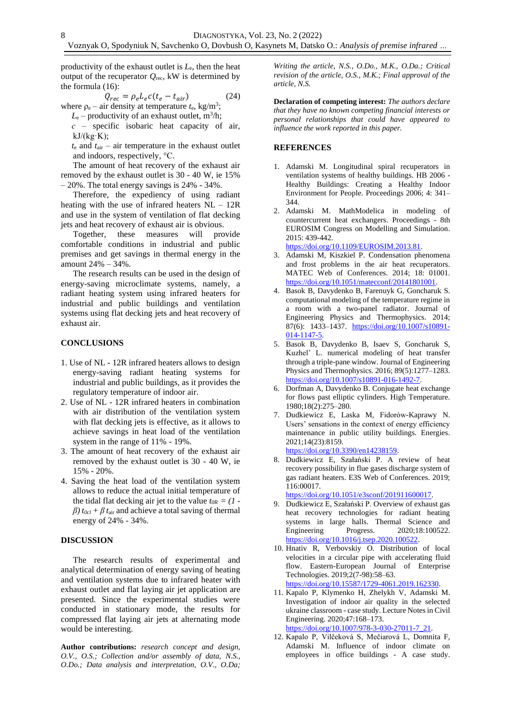productivity of the exhaust outlet is *L*e, then the heat output of the recuperator  $Q_{\text{rec}}$ , kW is determined by the formula (16):

$$
Q_{rec} = \rho_e L_e c (t_e - t_{air})
$$
 (24)  
where  $\rho_e$  – air density at temperature  $t_e$ , kg/m<sup>3</sup>;

 $L_e$  – productivity of an exhaust outlet, m<sup>3</sup>/h;

 *с* – specific isobaric heat capacity of air,  $kJ/(kg·K);$ 

 $t_e$  and  $t_{air}$  – air temperature in the exhaust outlet and indoors, respectively, °С.

The amount of heat recovery of the exhaust air removed by the exhaust outlet is 30 - 40 W, ie 15%  $-20\%$ . The total energy savings is 24% - 34%.

Therefore, the expediency of using radiant heating with the use of infrared heaters  $NL - 12R$ and use in the system of ventilation of flat decking jets and heat recovery of exhaust air is obvious.

Together, these measures will provide comfortable conditions in industrial and public premises and get savings in thermal energy in the amount 24% – 34%.

The research results can be used in the design of energy-saving microclimate systems, namely, a radiant heating system using infrared heaters for industrial and public buildings and ventilation systems using flat decking jets and heat recovery of exhaust air.

### **CONCLUSIONS**

- 1. Use of NL 12R infrared heaters allows to design energy-saving radiant heating systems for industrial and public buildings, as it provides the regulatory temperature of indoor air.
- 2. Use of NL 12R infrared heaters in combination with air distribution of the ventilation system with flat decking jets is effective, as it allows to achieve savings in heat load of the ventilation system in the range of 11% - 19%.
- 3. The amount of heat recovery of the exhaust air removed by the exhaust outlet is 30 - 40 W, ie 15% - 20%.
- 4. Saving the heat load of the ventilation system allows to reduce the actual initial temperature of the tidal flat decking air jet to the value  $t_{OR} = (1 \beta$ )  $t_{0cl} + \beta t_{air}$  and achieve a total saving of thermal energy of 24% - 34%.

## **DISCUSSION**

The research results of experimental and analytical determination of energy saving of heating and ventilation systems due to infrared heater with exhaust outlet and flat laying air jet application are presented. Since the experimental studies were conducted in stationary mode, the results for compressed flat laying air jets at alternating mode would be interesting.

**Author contributions:** *research concept and design, O.V., O.S.; Collection and/or assembly of data, N.S., O.Do.; Data analysis and interpretation, O.V., O.Da;* 

*Writing the article, N.S., O.Do., M.K., O.Da.; Critical revision of the article, O.S., M.K.; Final approval of the article, N.S.*

**Declaration of competing interest:** *The authors declare that they have no known competing financial interests or personal relationships that could have appeared to influence the work reported in this paper.*

### **REFERENCES**

- 1. [Adamski](https://www.scopus.com/authid/detail.uri?authorId=24074386000) M. [Longitudinal spiral recuperators in](https://www.scopus.com/record/display.uri?eid=2-s2.0-84871546496&origin=resultslist)  ventilation [systems of healthy buildings.](https://www.scopus.com/record/display.uri?eid=2-s2.0-84871546496&origin=resultslist) [HB 2006 -](https://www.scopus.com/sourceid/21100496110?origin=resultslist) [Healthy Buildings: Creating a Healthy Indoor](https://www.scopus.com/sourceid/21100496110?origin=resultslist)  [Environment for People.](https://www.scopus.com/sourceid/21100496110?origin=resultslist) Proceedings 2006; 4: 341– 344.
- 2. [Adamski](https://www.scopus.com/authid/detail.uri?authorId=24074386000) M. [MathModelica in modeling of](https://www.scopus.com/record/display.uri?eid=2-s2.0-84929590856&origin=resultslist)  [countercurrent heat exchangers.](https://www.scopus.com/record/display.uri?eid=2-s2.0-84929590856&origin=resultslist) Proceedings - 8th EUROSIM Congress on Modelling and Simulation. 2015: 439-442.

[https://doi.org/10.1109/EUROSIM.2013.81.](https://doi.org/10.1109/EUROSIM.2013.81) 3. Adamski M, [Kiszkiel](https://www.scopus.com/authid/detail.uri?authorId=56442644500) P. [Condensation phenomena](https://www.scopus.com/record/display.uri?eid=2-s2.0-84916625660&origin=resultslist) 

- [and frost problems in the air heat recuperators.](https://www.scopus.com/record/display.uri?eid=2-s2.0-84916625660&origin=resultslist) [MATEC Web of Conferences.](https://www.scopus.com/sourceid/21100316064?origin=resultslist) 2014; 18: 01001. [https://doi.org/10.1051/matecconf/20141801001.](https://doi.org/10.1051/matecconf/20141801001)
- 4. Basok B, Davydenko B, Farenuyk G, Goncharuk S. [computational modeling of the temperature regime in](https://www.scopus.com/record/display.uri?eid=2-s2.0-84925506803&origin=resultslist&sort=cp-f)  [a room with a two-panel radiator.](https://www.scopus.com/record/display.uri?eid=2-s2.0-84925506803&origin=resultslist&sort=cp-f) [Journal of](https://www.scopus.com/sourceid/130097?origin=resultslist)  [Engineering Physics and Thermophysics.](https://www.scopus.com/sourceid/130097?origin=resultslist) 2014; 87(6): 1433-1437. [https://doi.org/10.1007/s10891-](https://doi.org/10.1007/s10891-014-1147-5) [014-1147-5.](https://doi.org/10.1007/s10891-014-1147-5)
- 5. Basok B, Davydenko B, Isaev S, Goncharuk S, Kuzhel' L. [numerical modeling of heat transfer](https://www.scopus.com/record/display.uri?eid=2-s2.0-84992134121&origin=resultslist&sort=cp-f)  [through a triple-pane window.](https://www.scopus.com/record/display.uri?eid=2-s2.0-84992134121&origin=resultslist&sort=cp-f) [Journal of Engineering](https://www.scopus.com/sourceid/130097?origin=resultslist)  [Physics and Thermophysics.](https://www.scopus.com/sourceid/130097?origin=resultslist) 2016; 89(5):1277–1283. [https://doi.org/10.1007/s10891-016-1492-7.](https://doi.org/10.1007/s10891-016-1492-7)
- 6. Dorfman A, Davydenko B. [Conjugate heat exchange](https://www.scopus.com/record/display.uri?eid=2-s2.0-0018991909&origin=resultslist&sort=cp-f)  [for flows past elliptic cylinders.](https://www.scopus.com/record/display.uri?eid=2-s2.0-0018991909&origin=resultslist&sort=cp-f) [High Temperature.](https://www.scopus.com/sourceid/13751?origin=resultslist) 1980;18(2):275–280.
- 7. Dudkiewicz E, Laska M, [Fidorów-Kaprawy N.](https://www.scopus.com/authid/detail.uri?authorId=55520684600) Users' sensations in the context of energy efficiency maintenance in public utility buildings. Energies. 2021;14(23):8159. [https://doi.org/10.3390/en14238159.](https://doi.org/10.3390/en14238159)
- 8. Dudkiewicz E, [Szałański P.](https://www.scopus.com/authid/detail.uri?authorId=57194472036) A review of heat recovery possibility in flue gases discharge system of gas radiant heaters. E3S Web of Conferences. 2019; 116:00017.

[https://doi.org/10.1051/e3sconf/201911600017.](https://doi.org/10.1051/e3sconf/201911600017)

- 9. Dudkiewicz E, [Szałański P.](https://www.scopus.com/authid/detail.uri?authorId=57194472036) Overview of exhaust gas heat recovery technologies for radiant heating systems in large halls. Thermal Science and Engineering Progress. 2020;18:100522. [https://doi.org/10.1016/j.tsep.2020.100522.](https://doi.org/10.1016/j.tsep.2020.100522)
- 10. [Hnativ R,](https://www.scopus.com/authid/detail.uri?authorId=57201777976) [Verbovskiy O.](https://www.scopus.com/authid/detail.uri?authorId=57211566441) Distribution of local velocities in a circular pipe with accelerating fluid flow. Eastern-European Journal of Enterprise Technologies. 2019;2(7-98):58–63. [https://doi.org/10.15587/1729-4061.2019.162330.](https://doi.org/10.15587/1729-4061.2019.162330)
- 11. Kapalo P, Klymenko H, Zhelykh V, Adamski M. Investigation of indoor air quality in the selected ukraine classroom - case study. Lecture Notes in Civil Engineering. 2020;47:168–173. [https://doi.org/10.1007/978-3-030-27011-7\\_21.](https://doi.org/10.1007/978-3-030-27011-7_21)
- 12. Kapalo P, Vilčeková S, Mečiarová L, Domnita F, [Adamski M.](https://www.scopus.com/authid/detail.uri?authorId=24074386000) [Influence of indoor climate on](https://www.scopus.com/record/display.uri?eid=2-s2.0-85088663223&origin=resultslist)  [employees in office buildings](https://www.scopus.com/record/display.uri?eid=2-s2.0-85088663223&origin=resultslist) - A case study.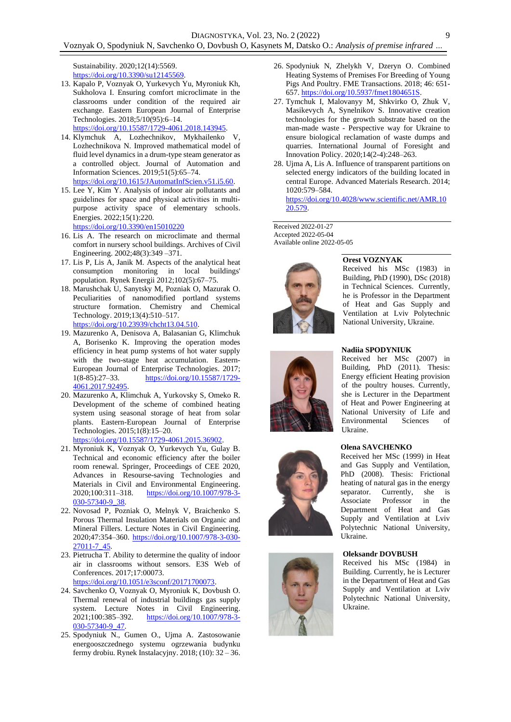[Sustainability.](https://www.scopus.com/sourceid/21100240100?origin=resultslist) 2020;12(14):5569. [https://doi.org/10.3390/su12145569.](https://doi.org/10.3390/su12145569)

13. Kapalo P, Voznyak O, Yurkevych Yu, Myroniuk Kh, Sukholova I. Ensuring comfort microclimate in the classrooms under condition of the required air exchange. Eastern European Journal of Enterprise Technologies. 2018;5/10(95):6–14. [https://doi.org/10.15587/1729-4061.2018.143945.](https://doi.org/10.15587/1729-4061.2018.143945)

14. Klymchuk A, Lozhechnikov, Mykhailenko V,

- Lozhechnikova N. [Improved mathematical model of](https://www.scopus.com/record/display.uri?eid=2-s2.0-85072163758&origin=resultslist)  [fluid level dynamics in a drum-type steam generator as](https://www.scopus.com/record/display.uri?eid=2-s2.0-85072163758&origin=resultslist)  [a controlled object.](https://www.scopus.com/record/display.uri?eid=2-s2.0-85072163758&origin=resultslist) [Journal of Automation and](https://www.scopus.com/sourceid/25497?origin=resultslist)  [Information](https://www.scopus.com/sourceid/25497?origin=resultslist) Sciences. 2019;51(5):65–74. [https://doi.org/10.1615/JAutomatInfScien.v51.i5.60.](https://doi.org/10.1615/JAutomatInfScien.v51.i5.60)
- 15. Lee Y, [Kim Y.](https://www.scopus.com/authid/detail.uri?authorId=57194582285) [Analysis of indoor air pollutants and](https://www.scopus.com/record/display.uri?eid=2-s2.0-85122041343&origin=resultslist&sort=cp-f)  [guidelines for space and physical activities in multi‐](https://www.scopus.com/record/display.uri?eid=2-s2.0-85122041343&origin=resultslist&sort=cp-f) [purpose activity space of elementary schools.](https://www.scopus.com/record/display.uri?eid=2-s2.0-85122041343&origin=resultslist&sort=cp-f) [Energies.](https://www.scopus.com/sourceid/62932?origin=resultslist) 2022;15(1):220. <https://doi.org/10.3390/en15010220>
- 16. Lis A. [The research on microclimate and thermal](https://www.scopus.com/record/display.uri?eid=2-s2.0-71249145669&origin=resultslist)  [comfort in nursery school buildings.](https://www.scopus.com/record/display.uri?eid=2-s2.0-71249145669&origin=resultslist) [Archives of Civil](https://www.scopus.com/sourceid/14502?origin=resultslist)  [Engineering.](https://www.scopus.com/sourceid/14502?origin=resultslist) 2002;48(3):349 –371.
- 17. Lis P, Lis A, [Janik](https://www.scopus.com/authid/detail.uri?authorId=55520602900) M. Aspects of the analytical heat consumption monitoring in local buildings' population. [Rynek Energii](https://www.scopus.com/sourceid/19700174650?origin=resultslist) 2012;102(5):67–75.
- 18. Marushchak U, Sanytsky M, Pozniak O, [Mazurak O.](https://www.scopus.com/authid/detail.uri?authorId=57211909426) [Peculiarities of nanomodified portland systems](https://www.scopus.com/record/display.uri?eid=2-s2.0-85075296768&origin=resultslist&sort=cp-f)  [structure formation.](https://www.scopus.com/record/display.uri?eid=2-s2.0-85075296768&origin=resultslist&sort=cp-f) [Chemistry and Chemical](https://www.scopus.com/sourceid/21100202725?origin=resultslist)  [Technology.](https://www.scopus.com/sourceid/21100202725?origin=resultslist) 2019;13(4):510–517. [https://doi.org/10.23939/chcht13.04.510.](https://doi.org/10.23939/chcht13.04.510)
- 19. Mazurenko A, Denisova A, Balasanian G, Klimchuk A, [Borisenko](https://www.scopus.com/authid/detail.uri?authorId=57209316246) K. [Improving the operation modes](https://www.scopus.com/record/display.uri?eid=2-s2.0-85013628430&origin=resultslist)  [efficiency in heat pump systems of hot water supply](https://www.scopus.com/record/display.uri?eid=2-s2.0-85013628430&origin=resultslist)  [with the two-stage heat accumulation.](https://www.scopus.com/record/display.uri?eid=2-s2.0-85013628430&origin=resultslist) [Eastern-](https://www.scopus.com/sourceid/21100450083?origin=resultslist)[European Journal of Enterprise Technologies.](https://www.scopus.com/sourceid/21100450083?origin=resultslist) 2017; 1(8-85):27–33. [https://doi.org/10.15587/1729-](https://doi.org/10.15587/1729-4061.2017.92495) [4061.2017.92495.](https://doi.org/10.15587/1729-4061.2017.92495)
- 20. Mazurenko A, Klimchuk A, Yurkovsky S, Omeko R. [Development of the scheme of combined heating](https://www.scopus.com/record/display.uri?eid=2-s2.0-84979967813&origin=resultslist)  [system using seasonal storage of heat from solar](https://www.scopus.com/record/display.uri?eid=2-s2.0-84979967813&origin=resultslist)  [plants.](https://www.scopus.com/record/display.uri?eid=2-s2.0-84979967813&origin=resultslist) [Eastern-European Journal of Enterprise](https://www.scopus.com/sourceid/21100450083?origin=resultslist)  [Technologies.](https://www.scopus.com/sourceid/21100450083?origin=resultslist) 2015;1(8):15–20. [https://doi.org/10.15587/1729-4061.2015.36902.](https://doi.org/10.15587/1729-4061.2015.36902)
- 21. Myroniuk K, Voznyak O, Yurkevych Yu, Gulay B. Technical and economic efficiency after the boiler room renewal. Springer, Proceedings of CEE 2020, Advances in Resourse-saving Technologies and Materials in Civil and Environmental Engineering. 2020;100:311–318. [https://doi.org/10.1007/978-3-](https://doi.org/10.1007/978-3-030-57340-9_38) [030-57340-9\\_38.](https://doi.org/10.1007/978-3-030-57340-9_38)
- 22. Novosad P, Pozniak O, Melnyk V, [Braichenko S.](https://www.scopus.com/authid/detail.uri?authorId=57196151077) [Porous Thermal Insulation Materials on Organic and](https://www.scopus.com/record/display.uri?eid=2-s2.0-85071365760&origin=resultslist&sort=cp-f)  [Mineral Fillers.](https://www.scopus.com/record/display.uri?eid=2-s2.0-85071365760&origin=resultslist&sort=cp-f) [Lecture Notes in Civil Engineering.](https://www.scopus.com/sourceid/21100889404?origin=resultslist) 2020;47:354–360. [https://doi.org/10.1007/978-3-030-](https://doi.org/10.1007/978-3-030-27011-7_45) [27011-7\\_45.](https://doi.org/10.1007/978-3-030-27011-7_45)
- 23. [Pietrucha T.](https://www.scopus.com/authid/detail.uri?origin=resultslist&authorId=56986014400&zone=) [Ability to determine the quality of indoor](https://www.scopus.com/record/display.uri?eid=2-s2.0-85020291966&origin=resultslist&sort=plf-f&cite=2-s2.0-85020259356&src=s&imp=t&sid=cedc17a3768bb6fae4e943a8d3381c72&sot=cite&sdt=a&sl=0&relpos=4&citeCnt=1&searchTerm=)  [air in classrooms without sensors.](https://www.scopus.com/record/display.uri?eid=2-s2.0-85020291966&origin=resultslist&sort=plf-f&cite=2-s2.0-85020259356&src=s&imp=t&sid=cedc17a3768bb6fae4e943a8d3381c72&sot=cite&sdt=a&sl=0&relpos=4&citeCnt=1&searchTerm=) [E3S Web of](https://www.scopus.com/sourceid/21100795900?origin=resultslist)  [Conferences.](https://www.scopus.com/sourceid/21100795900?origin=resultslist) 2017;17:00073. [https://doi.org/10.1051/e3sconf/20171700073.](https://doi.org/10.1051/e3sconf/20171700073)
- 24. Savchenko O, Voznyak O, Myroniuk K, [Dovbush O.](https://www.scopus.com/authid/detail.uri?authorId=57205379370) [Thermal renewal of industrial buildings gas supply](https://www.scopus.com/record/display.uri?eid=2-s2.0-85090036969&origin=resultslist&sort=cp-f)  [system.](https://www.scopus.com/record/display.uri?eid=2-s2.0-85090036969&origin=resultslist&sort=cp-f) [Lecture Notes in Civil Engineering.](https://www.scopus.com/sourceid/21100889404?origin=resultslist) 2021;100:385–392. [https://doi.org/10.1007/978-3-](https://doi.org/10.1007/978-3-030-57340-9_47) [030-57340-9\\_47.](https://doi.org/10.1007/978-3-030-57340-9_47)
- 25. Spodyniuk N., Gumen O., Ujma A. Zastosowanie energooszczednego systemu ogrzewania budynku fermy drobiu. Rynek Instalacyjny. 2018; (10): 32 – 36.
- 26. Spodyniuk N, Zhelykh V, Dzeryn O. Combined Heating Systems of Premises For Breeding of Young Pigs And Poultry. FME Transactions. 2018; 46: 651- 657. [https://doi.org/10.5937/fmet1804651S.](https://doi.org/10.5937/fmet1804651S)
- 27. Tymchuk I, Malovanyy M, Shkvirko O, Zhuk V, Masikevych A, Synelnikov S. [Innovative creation](https://www.scopus.com/record/display.uri?eid=2-s2.0-85096472002&origin=resultslist)  [technologies for the growth substrate based on the](https://www.scopus.com/record/display.uri?eid=2-s2.0-85096472002&origin=resultslist)  man-made waste - [Perspective way for Ukraine to](https://www.scopus.com/record/display.uri?eid=2-s2.0-85096472002&origin=resultslist)  [ensure biological reclamation of waste dumps and](https://www.scopus.com/record/display.uri?eid=2-s2.0-85096472002&origin=resultslist)  [quarries.](https://www.scopus.com/record/display.uri?eid=2-s2.0-85096472002&origin=resultslist) [International Journal of Foresight and](https://www.scopus.com/sourceid/6800153107?origin=resultslist)  [Innovation Policy.](https://www.scopus.com/sourceid/6800153107?origin=resultslist) 2020;14(2-4):248–263.
- 28. Ujma A, Lis A. [Influence of transparent partitions on](https://www.scopus.com/record/display.uri?eid=2-s2.0-84920836322&origin=resultslist)  [selected energy indicators of the building located in](https://www.scopus.com/record/display.uri?eid=2-s2.0-84920836322&origin=resultslist)  [central Europe.](https://www.scopus.com/record/display.uri?eid=2-s2.0-84920836322&origin=resultslist) [Advanced Materials Research.](https://www.scopus.com/sourceid/4700151906?origin=resultslist) 2014; 1020:579–584.

[https://doi.org/10.4028/www.scientific.net/AMR.10](https://doi.org/10.4028/www.scientific.net/AMR.1020.579) [20.579.](https://doi.org/10.4028/www.scientific.net/AMR.1020.579)

Received 2022-01-27 Accepted 2022-05-04 Available online 2022-05-05



**Orest VOZNYAK**

Received his MSc (1983) in Building, PhD (1990), DSc (2018) in Technical Sciences. Currently, he is Professor in the Department of Heat and Gas Supply and Ventilation at Lviv Polytechnic National University, Ukraine.



Received her MSc (2007) in Building, PhD (2011). Thesis: Energy efficient Heating provision of the poultry houses. Currently, she is Lecturer in the Department of Heat and Power Engineering at National University of Life and Environmental Sciences of Ukraine.

#### **Olena SAVCHENKO**

Received her MSc (1999) in Heat and Gas Supply and Ventilation, PhD (2008). Thesis: Frictional heating of natural gas in the energy separator. Currently, she is Associate Professor in the Department of Heat and Gas Supply and Ventilation at Lviv Polytechnic National University, Ukraine.

#### **Oleksandr DOVBUSH**

Received his MSc (1984) in Building. Currently, he is Lecturer in the Department of Heat and Gas Supply and Ventilation at Lviv Polytechnic National University, Ukraine.